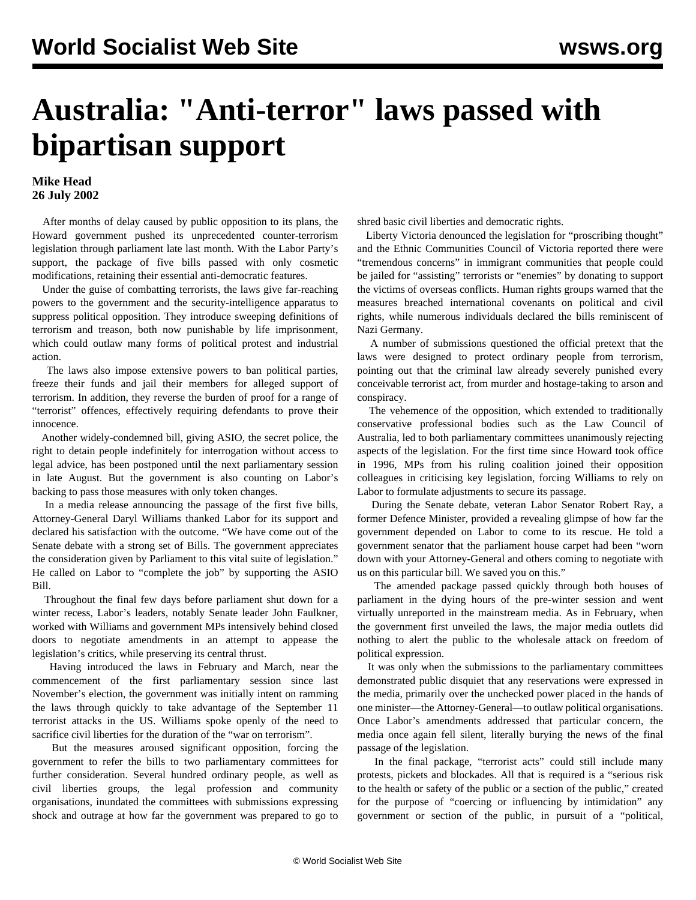## **Australia: "Anti-terror" laws passed with bipartisan support**

## **Mike Head 26 July 2002**

 After months of delay caused by public opposition to its plans, the Howard government pushed its unprecedented counter-terrorism legislation through parliament late last month. With the Labor Party's support, the package of five bills passed with only cosmetic modifications, retaining their essential anti-democratic features.

 Under the guise of combatting terrorists, the laws give far-reaching powers to the government and the security-intelligence apparatus to suppress political opposition. They introduce sweeping definitions of terrorism and treason, both now punishable by life imprisonment, which could outlaw many forms of political protest and industrial action.

 The laws also impose extensive powers to ban political parties, freeze their funds and jail their members for alleged support of terrorism. In addition, they reverse the burden of proof for a range of "terrorist" offences, effectively requiring defendants to prove their innocence.

 Another widely-condemned bill, giving ASIO, the secret police, the right to detain people indefinitely for interrogation without access to legal advice, has been postponed until the next parliamentary session in late August. But the government is also counting on Labor's backing to pass those measures with only token changes.

 In a media release announcing the passage of the first five bills, Attorney-General Daryl Williams thanked Labor for its support and declared his satisfaction with the outcome. "We have come out of the Senate debate with a strong set of Bills. The government appreciates the consideration given by Parliament to this vital suite of legislation." He called on Labor to "complete the job" by supporting the ASIO Bill.

 Throughout the final few days before parliament shut down for a winter recess, Labor's leaders, notably Senate leader John Faulkner, worked with Williams and government MPs intensively behind closed doors to negotiate amendments in an attempt to appease the legislation's critics, while preserving its central thrust.

 Having introduced the laws in February and March, near the commencement of the first parliamentary session since last November's election, the government was initially intent on ramming the laws through quickly to take advantage of the September 11 terrorist attacks in the US. Williams spoke openly of the need to sacrifice civil liberties for the duration of the "war on terrorism".

 But the measures aroused significant opposition, forcing the government to refer the bills to two parliamentary committees for further consideration. Several hundred ordinary people, as well as civil liberties groups, the legal profession and community organisations, inundated the committees with submissions expressing shock and outrage at how far the government was prepared to go to shred basic civil liberties and democratic rights.

 Liberty Victoria denounced the legislation for "proscribing thought" and the Ethnic Communities Council of Victoria reported there were "tremendous concerns" in immigrant communities that people could be jailed for "assisting" terrorists or "enemies" by donating to support the victims of overseas conflicts. Human rights groups warned that the measures breached international covenants on political and civil rights, while numerous individuals declared the bills reminiscent of Nazi Germany.

 A number of submissions questioned the official pretext that the laws were designed to protect ordinary people from terrorism, pointing out that the criminal law already severely punished every conceivable terrorist act, from murder and hostage-taking to arson and conspiracy.

 The vehemence of the opposition, which extended to traditionally conservative professional bodies such as the Law Council of Australia, led to both parliamentary committees unanimously rejecting aspects of the legislation. For the first time since Howard took office in 1996, MPs from his ruling coalition joined their opposition colleagues in criticising key legislation, forcing Williams to rely on Labor to formulate adjustments to secure its passage.

 During the Senate debate, veteran Labor Senator Robert Ray, a former Defence Minister, provided a revealing glimpse of how far the government depended on Labor to come to its rescue. He told a government senator that the parliament house carpet had been "worn down with your Attorney-General and others coming to negotiate with us on this particular bill. We saved you on this."

 The amended package passed quickly through both houses of parliament in the dying hours of the pre-winter session and went virtually unreported in the mainstream media. As in February, when the government first unveiled the laws, the major media outlets did nothing to alert the public to the wholesale attack on freedom of political expression.

 It was only when the submissions to the parliamentary committees demonstrated public disquiet that any reservations were expressed in the media, primarily over the unchecked power placed in the hands of one minister—the Attorney-General—to outlaw political organisations. Once Labor's amendments addressed that particular concern, the media once again fell silent, literally burying the news of the final passage of the legislation.

 In the final package, "terrorist acts" could still include many protests, pickets and blockades. All that is required is a "serious risk to the health or safety of the public or a section of the public," created for the purpose of "coercing or influencing by intimidation" any government or section of the public, in pursuit of a "political,